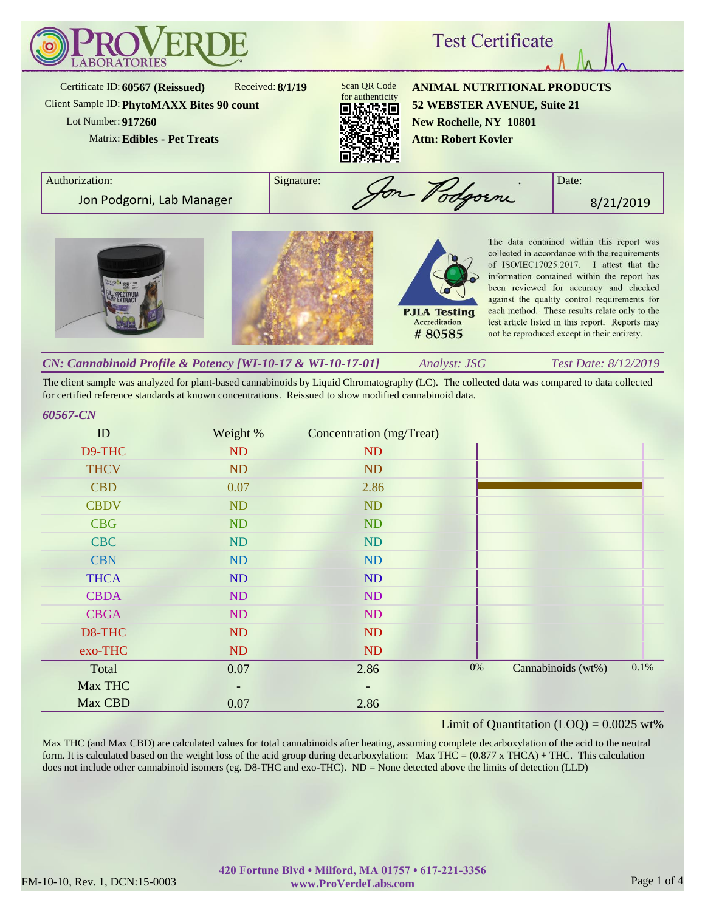

The client sample was analyzed for plant-based cannabinoids by Liquid Chromatography (LC). The collected data was compared to data collected for certified reference standards at known concentrations. Reissued to show modified cannabinoid data.

#### *60567-CN*

| ID          | Weight % | Concentration (mg/Treat) |       |                    |      |
|-------------|----------|--------------------------|-------|--------------------|------|
| D9-THC      | ND       | ND                       |       |                    |      |
| <b>THCV</b> | ND       | <b>ND</b>                |       |                    |      |
| <b>CBD</b>  | 0.07     | 2.86                     |       |                    |      |
| <b>CBDV</b> | ND       | <b>ND</b>                |       |                    |      |
| <b>CBG</b>  | ND       | <b>ND</b>                |       |                    |      |
| <b>CBC</b>  | ND       | ND                       |       |                    |      |
| <b>CBN</b>  | ND       | <b>ND</b>                |       |                    |      |
| <b>THCA</b> | ND       | ND                       |       |                    |      |
| <b>CBDA</b> | ND       | <b>ND</b>                |       |                    |      |
| <b>CBGA</b> | ND       | ND                       |       |                    |      |
| D8-THC      | ND       | ND                       |       |                    |      |
| exo-THC     | ND       | ND                       |       |                    |      |
| Total       | 0.07     | 2.86                     | $0\%$ | Cannabinoids (wt%) | 0.1% |
| Max THC     | -        | $\overline{\phantom{a}}$ |       |                    |      |
| Max CBD     | 0.07     | 2.86                     |       |                    |      |

# Limit of Quantitation  $(LOQ) = 0.0025$  wt%

Max THC (and Max CBD) are calculated values for total cannabinoids after heating, assuming complete decarboxylation of the acid to the neutral form. It is calculated based on the weight loss of the acid group during decarboxylation: Max THC =  $(0.877 \times THCA) + THC$ . This calculation does not include other cannabinoid isomers (eg. D8-THC and exo-THC). ND = None detected above the limits of detection (LLD)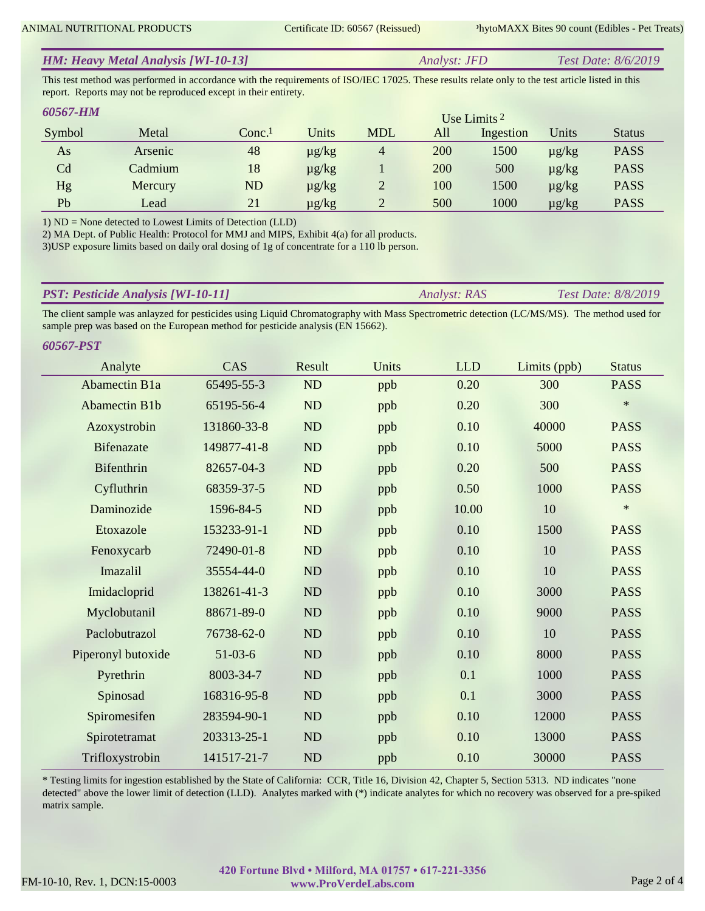| <b>HM: Heavy Metal Analysis [WI-10-13]</b> | Analyst: JFD | <i>Test Date: 8/6/2019</i> |
|--------------------------------------------|--------------|----------------------------|
|                                            |              |                            |

This test method was performed in accordance with the requirements of ISO/IEC 17025. These results relate only to the test article listed in this report. Reports may not be reproduced except in their entirety.

| <b>60567-HM</b> |         |                      |            |                |     | Use Limits $2$ |            |               |
|-----------------|---------|----------------------|------------|----------------|-----|----------------|------------|---------------|
| Symbol          | Metal   | $Conc.$ <sup>1</sup> | Units      | <b>MDL</b>     | All | Ingestion      | Units      | <b>Status</b> |
| As              | Arsenic | 48                   | $\mu$ g/kg | $\overline{4}$ | 200 | 1500           | $\mu$ g/kg | <b>PASS</b>   |
| Cd              | Cadmium | 18                   | $\mu$ g/kg |                | 200 | 500            | $\mu$ g/kg | <b>PASS</b>   |
| Hg              | Mercury | ND                   | $\mu$ g/kg |                | 100 | 1500           | $\mu$ g/kg | <b>PASS</b>   |
| Pb              | Lead    | 21                   | $\mu$ g/kg |                | 500 | 1000           | $\mu$ g/kg | <b>PASS</b>   |

1) ND = None detected to Lowest Limits of Detection (LLD)

2) MA Dept. of Public Health: Protocol for MMJ and MIPS, Exhibit 4(a) for all products.

3)USP exposure limits based on daily oral dosing of 1g of concentrate for a 110 lb person.

| <b>PST: Pesticide Analysis [WI-10-11]</b> | Analyst: RAS | <b>Test Date: 8/8/2019</b> |
|-------------------------------------------|--------------|----------------------------|
|                                           |              |                            |

The client sample was anlayzed for pesticides using Liquid Chromatography with Mass Spectrometric detection (LC/MS/MS). The method used for sample prep was based on the European method for pesticide analysis (EN 15662).

| 60567-PST            |             |           |       |            |              |               |
|----------------------|-------------|-----------|-------|------------|--------------|---------------|
| Analyte              | CAS         | Result    | Units | <b>LLD</b> | Limits (ppb) | <b>Status</b> |
| <b>Abamectin B1a</b> | 65495-55-3  | ND        | ppb   | 0.20       | 300          | <b>PASS</b>   |
| <b>Abamectin B1b</b> | 65195-56-4  | ND        | ppb   | 0.20       | 300          | $\ast$        |
| Azoxystrobin         | 131860-33-8 | ND        | ppb   | 0.10       | 40000        | <b>PASS</b>   |
| <b>Bifenazate</b>    | 149877-41-8 | <b>ND</b> | ppb   | 0.10       | 5000         | <b>PASS</b>   |
| Bifenthrin           | 82657-04-3  | ND        | ppb   | 0.20       | 500          | <b>PASS</b>   |
| Cyfluthrin           | 68359-37-5  | <b>ND</b> | ppb   | 0.50       | 1000         | <b>PASS</b>   |
| Daminozide           | 1596-84-5   | <b>ND</b> | ppb   | 10.00      | 10           | $\ast$        |
| Etoxazole            | 153233-91-1 | ND        | ppb   | 0.10       | 1500         | <b>PASS</b>   |
| Fenoxycarb           | 72490-01-8  | <b>ND</b> | ppb   | 0.10       | 10           | <b>PASS</b>   |
| Imazalil             | 35554-44-0  | ND        | ppb   | 0.10       | 10           | <b>PASS</b>   |
| Imidacloprid         | 138261-41-3 | <b>ND</b> | ppb   | 0.10       | 3000         | <b>PASS</b>   |
| Myclobutanil         | 88671-89-0  | $\rm ND$  | ppb   | 0.10       | 9000         | <b>PASS</b>   |
| Paclobutrazol        | 76738-62-0  | <b>ND</b> | ppb   | 0.10       | 10           | <b>PASS</b>   |
| Piperonyl butoxide   | $51-03-6$   | ND        | ppb   | 0.10       | 8000         | <b>PASS</b>   |
| Pyrethrin            | 8003-34-7   | <b>ND</b> | ppb   | 0.1        | 1000         | <b>PASS</b>   |
| Spinosad             | 168316-95-8 | <b>ND</b> | ppb   | 0.1        | 3000         | <b>PASS</b>   |
| Spiromesifen         | 283594-90-1 | ND        | ppb   | 0.10       | 12000        | <b>PASS</b>   |
| Spirotetramat        | 203313-25-1 | <b>ND</b> | ppb   | 0.10       | 13000        | <b>PASS</b>   |
| Trifloxystrobin      | 141517-21-7 | <b>ND</b> | ppb   | 0.10       | 30000        | <b>PASS</b>   |

\* Testing limits for ingestion established by the State of California: CCR, Title 16, Division 42, Chapter 5, Section 5313. ND indicates "none detected" above the lower limit of detection (LLD). Analytes marked with (\*) indicate analytes for which no recovery was observed for a pre-spiked matrix sample.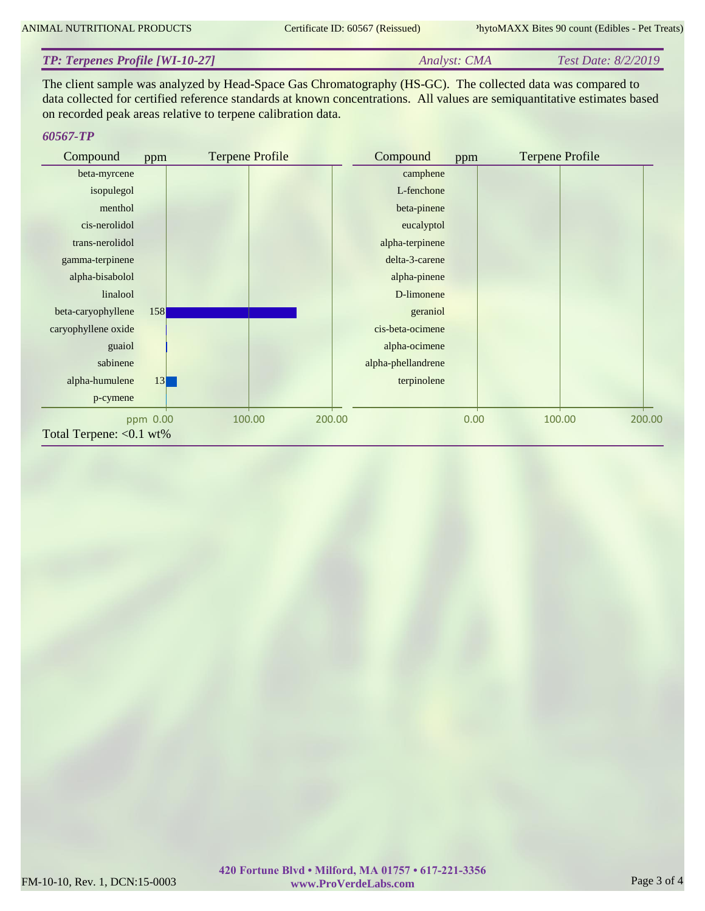#### *Analyst: CMA Test Date: 8/2/2019 TP: Terpenes Profile [WI-10-27]*

The client sample was analyzed by Head-Space Gas Chromatography (HS-GC). The collected data was compared to data collected for certified reference standards at known concentrations. All values are semiquantitative estimates based on recorded peak areas relative to terpene calibration data.

# *60567-TP*